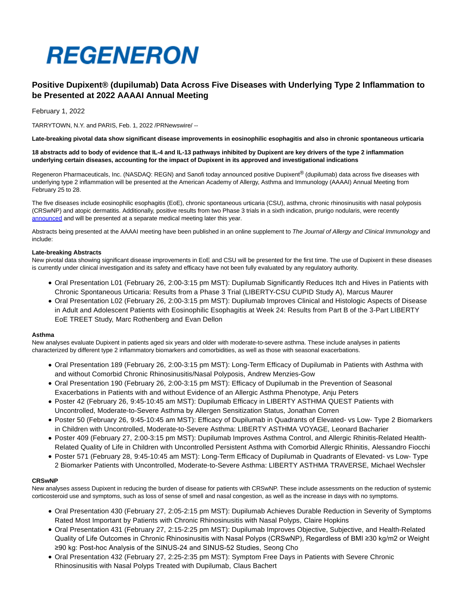

# **Positive Dupixent® (dupilumab) Data Across Five Diseases with Underlying Type 2 Inflammation to be Presented at 2022 AAAAI Annual Meeting**

February 1, 2022

TARRYTOWN, N.Y. and PARIS, Feb. 1, 2022 /PRNewswire/ --

**Late-breaking pivotal data show significant disease improvements in eosinophilic esophagitis and also in chronic spontaneous urticaria**

**18 abstracts add to body of evidence that IL-4 and IL-13 pathways inhibited by Dupixent are key drivers of the type 2 inflammation underlying certain diseases, accounting for the impact of Dupixent in its approved and investigational indications**

Regeneron Pharmaceuticals, Inc. (NASDAQ: REGN) and Sanofi today announced positive Dupixent® (dupilumab) data across five diseases with underlying type 2 inflammation will be presented at the American Academy of Allergy, Asthma and Immunology (AAAAI) Annual Meeting from February 25 to 28.

The five diseases include eosinophilic esophagitis (EoE), chronic spontaneous urticaria (CSU), asthma, chronic rhinosinusitis with nasal polyposis (CRSwNP) and atopic dermatitis. Additionally, positive results from two Phase 3 trials in a sixth indication, prurigo nodularis, were recently [announced a](https://c212.net/c/link/?t=0&l=en&o=3431111-1&h=3367077811&u=https%3A%2F%2Finvestor.regeneron.com%2Fnews-releases%2Fnews-release-details%2Fsecond-positive-phase-3-dupixentr-dupilumab-trial-confirms&a=announced)nd will be presented at a separate medical meeting later this year.

Abstracts being presented at the AAAAI meeting have been published in an online supplement to The Journal of Allergy and Clinical Immunology and include:

# **Late-breaking Abstracts**

New pivotal data showing significant disease improvements in EoE and CSU will be presented for the first time. The use of Dupixent in these diseases is currently under clinical investigation and its safety and efficacy have not been fully evaluated by any regulatory authority.

- Oral Presentation L01 (February 26, 2:00-3:15 pm MST): Dupilumab Significantly Reduces Itch and Hives in Patients with Chronic Spontaneous Urticaria: Results from a Phase 3 Trial (LIBERTY-CSU CUPID Study A), Marcus Maurer
- Oral Presentation L02 (February 26, 2:00-3:15 pm MST): Dupilumab Improves Clinical and Histologic Aspects of Disease in Adult and Adolescent Patients with Eosinophilic Esophagitis at Week 24: Results from Part B of the 3-Part LIBERTY EoE TREET Study, Marc Rothenberg and Evan Dellon

# **Asthma**

New analyses evaluate Dupixent in patients aged six years and older with moderate-to-severe asthma. These include analyses in patients characterized by different type 2 inflammatory biomarkers and comorbidities, as well as those with seasonal exacerbations.

- Oral Presentation 189 (February 26, 2:00-3:15 pm MST): Long-Term Efficacy of Dupilumab in Patients with Asthma with and without Comorbid Chronic Rhinosinusitis/Nasal Polyposis, Andrew Menzies-Gow
- Oral Presentation 190 (February 26, 2:00-3:15 pm MST): Efficacy of Dupilumab in the Prevention of Seasonal Exacerbations in Patients with and without Evidence of an Allergic Asthma Phenotype, Anju Peters
- Poster 42 (February 26, 9:45-10:45 am MST): Dupilumab Efficacy in LIBERTY ASTHMA QUEST Patients with Uncontrolled, Moderate-to-Severe Asthma by Allergen Sensitization Status, Jonathan Corren
- Poster 50 (February 26, 9:45-10:45 am MST): Efficacy of Dupilumab in Quadrants of Elevated- vs Low- Type 2 Biomarkers in Children with Uncontrolled, Moderate-to-Severe Asthma: LIBERTY ASTHMA VOYAGE, Leonard Bacharier
- Poster 409 (February 27, 2:00-3:15 pm MST): Dupilumab Improves Asthma Control, and Allergic Rhinitis-Related Health-Related Quality of Life in Children with Uncontrolled Persistent Asthma with Comorbid Allergic Rhinitis, Alessandro Fiocchi
- Poster 571 (February 28, 9:45-10:45 am MST): Long-Term Efficacy of Dupilumab in Quadrants of Elevated- vs Low- Type 2 Biomarker Patients with Uncontrolled, Moderate-to-Severe Asthma: LIBERTY ASTHMA TRAVERSE, Michael Wechsler

# **CRSwNP**

New analyses assess Dupixent in reducing the burden of disease for patients with CRSwNP. These include assessments on the reduction of systemic corticosteroid use and symptoms, such as loss of sense of smell and nasal congestion, as well as the increase in days with no symptoms.

- Oral Presentation 430 (February 27, 2:05-2:15 pm MST): Dupilumab Achieves Durable Reduction in Severity of Symptoms Rated Most Important by Patients with Chronic Rhinosinusitis with Nasal Polyps, Claire Hopkins
- Oral Presentation 431 (February 27, 2:15-2:25 pm MST): Dupilumab Improves Objective, Subjective, and Health-Related Quality of Life Outcomes in Chronic Rhinosinusitis with Nasal Polyps (CRSwNP), Regardless of BMI ≥30 kg/m2 or Weight ≥90 kg: Post-hoc Analysis of the SINUS-24 and SINUS-52 Studies, Seong Cho
- Oral Presentation 432 (February 27, 2:25-2:35 pm MST): Symptom Free Days in Patients with Severe Chronic Rhinosinusitis with Nasal Polyps Treated with Dupilumab, Claus Bachert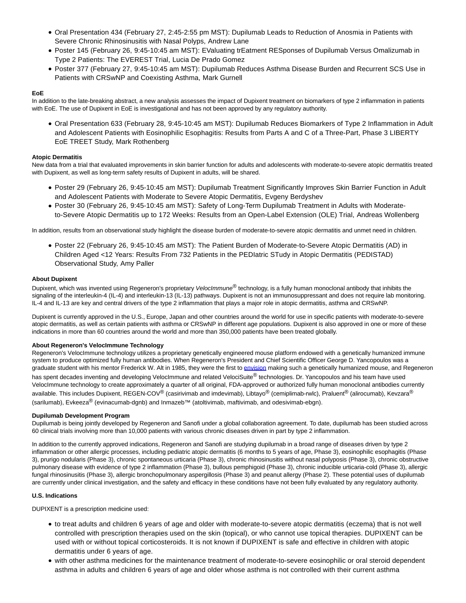- Oral Presentation 434 (February 27, 2:45-2:55 pm MST): Dupilumab Leads to Reduction of Anosmia in Patients with Severe Chronic Rhinosinusitis with Nasal Polyps, Andrew Lane
- Poster 145 (February 26, 9:45-10:45 am MST): EValuating trEatment RESponses of Dupilumab Versus Omalizumab in Type 2 Patients: The EVEREST Trial, Lucia De Prado Gomez
- Poster 377 (February 27, 9:45-10:45 am MST): Dupilumab Reduces Asthma Disease Burden and Recurrent SCS Use in Patients with CRSwNP and Coexisting Asthma, Mark Gurnell

# **EoE**

In addition to the late-breaking abstract, a new analysis assesses the impact of Dupixent treatment on biomarkers of type 2 inflammation in patients with EoE. The use of Dupixent in EoE is investigational and has not been approved by any regulatory authority.

Oral Presentation 633 (February 28, 9:45-10:45 am MST): Dupilumab Reduces Biomarkers of Type 2 Inflammation in Adult and Adolescent Patients with Eosinophilic Esophagitis: Results from Parts A and C of a Three-Part, Phase 3 LIBERTY EoE TREET Study, Mark Rothenberg

# **Atopic Dermatitis**

New data from a trial that evaluated improvements in skin barrier function for adults and adolescents with moderate-to-severe atopic dermatitis treated with Dupixent, as well as long-term safety results of Dupixent in adults, will be shared.

- Poster 29 (February 26, 9:45-10:45 am MST): Dupilumab Treatment Significantly Improves Skin Barrier Function in Adult and Adolescent Patients with Moderate to Severe Atopic Dermatitis, Evgeny Berdyshev
- Poster 30 (February 26, 9:45-10:45 am MST): Safety of Long-Term Dupilumab Treatment in Adults with Moderateto-Severe Atopic Dermatitis up to 172 Weeks: Results from an Open-Label Extension (OLE) Trial, Andreas Wollenberg

In addition, results from an observational study highlight the disease burden of moderate-to-severe atopic dermatitis and unmet need in children.

Poster 22 (February 26, 9:45-10:45 am MST): The Patient Burden of Moderate-to-Severe Atopic Dermatitis (AD) in Children Aged <12 Years: Results From 732 Patients in the PEDIatric STudy in Atopic Dermatitis (PEDISTAD) Observational Study, Amy Paller

# **About Dupixent**

Dupixent, which was invented using Regeneron's proprietary Veloclmmune<sup>®</sup> technology, is a fully human monoclonal antibody that inhibits the signaling of the interleukin-4 (IL-4) and interleukin-13 (IL-13) pathways. Dupixent is not an immunosuppressant and does not require lab monitoring. IL-4 and IL-13 are key and central drivers of the type 2 inflammation that plays a major role in atopic dermatitis, asthma and CRSwNP.

Dupixent is currently approved in the U.S., Europe, Japan and other countries around the world for use in specific patients with moderate-to-severe atopic dermatitis, as well as certain patients with asthma or CRSwNP in different age populations. Dupixent is also approved in one or more of these indications in more than 60 countries around the world and more than 350,000 patients have been treated globally.

# **About Regeneron's VelocImmune Technology**

Regeneron's VelocImmune technology utilizes a proprietary genetically engineered mouse platform endowed with a genetically humanized immune system to produce optimized fully human antibodies. When Regeneron's President and Chief Scientific Officer George D. Yancopoulos was a graduate student with his mentor Frederick W. Alt in 1985, they were the first to [envision m](https://c212.net/c/link/?t=0&l=en&o=3431111-1&h=100064627&u=https%3A%2F%2Fwww.sciencedirect.com%2Fscience%2Farticle%2Fabs%2Fpii%2F0168952585900897&a=envision)aking such a genetically humanized mouse, and Regeneron has spent decades inventing and developing VelocImmune and related VelociSuite® technologies. Dr. Yancopoulos and his team have used VelocImmune technology to create approximately a quarter of all original, FDA-approved or authorized fully human monoclonal antibodies currently available. This includes Dupixent, REGEN-COV® (casirivimab and imdevimab), Libtayo® (cemiplimab-rwlc), Praluent® (alirocumab), Kevzara® (sarilumab), Evkeeza® (evinacumab-dgnb) and Inmazeb™ (atoltivimab, maftivimab, and odesivimab-ebgn).

# **Dupilumab Development Program**

Dupilumab is being jointly developed by Regeneron and Sanofi under a global collaboration agreement. To date, dupilumab has been studied across 60 clinical trials involving more than 10,000 patients with various chronic diseases driven in part by type 2 inflammation.

In addition to the currently approved indications, Regeneron and Sanofi are studying dupilumab in a broad range of diseases driven by type 2 inflammation or other allergic processes, including pediatric atopic dermatitis (6 months to 5 years of age, Phase 3), eosinophilic esophagitis (Phase 3), prurigo nodularis (Phase 3), chronic spontaneous urticaria (Phase 3), chronic rhinosinusitis without nasal polyposis (Phase 3), chronic obstructive pulmonary disease with evidence of type 2 inflammation (Phase 3), bullous pemphigoid (Phase 3), chronic inducible urticaria-cold (Phase 3), allergic fungal rhinosinusitis (Phase 3), allergic bronchopulmonary aspergillosis (Phase 3) and peanut allergy (Phase 2). These potential uses of dupilumab are currently under clinical investigation, and the safety and efficacy in these conditions have not been fully evaluated by any regulatory authority.

# **U.S. Indications**

DUPIXENT is a prescription medicine used:

- to treat adults and children 6 years of age and older with moderate-to-severe atopic dermatitis (eczema) that is not well controlled with prescription therapies used on the skin (topical), or who cannot use topical therapies. DUPIXENT can be used with or without topical corticosteroids. It is not known if DUPIXENT is safe and effective in children with atopic dermatitis under 6 years of age.
- with other asthma medicines for the maintenance treatment of moderate-to-severe eosinophilic or oral steroid dependent asthma in adults and children 6 years of age and older whose asthma is not controlled with their current asthma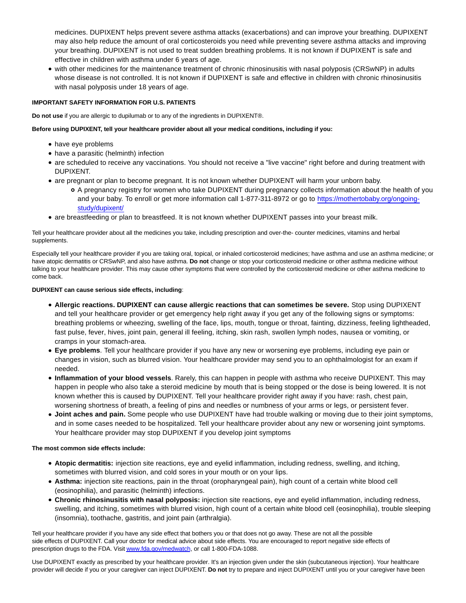medicines. DUPIXENT helps prevent severe asthma attacks (exacerbations) and can improve your breathing. DUPIXENT may also help reduce the amount of oral corticosteroids you need while preventing severe asthma attacks and improving your breathing. DUPIXENT is not used to treat sudden breathing problems. It is not known if DUPIXENT is safe and effective in children with asthma under 6 years of age.

with other medicines for the maintenance treatment of chronic rhinosinusitis with nasal polyposis (CRSwNP) in adults whose disease is not controlled. It is not known if DUPIXENT is safe and effective in children with chronic rhinosinusitis with nasal polyposis under 18 years of age.

# **IMPORTANT SAFETY INFORMATION FOR U.S. PATIENTS**

**Do not use** if you are allergic to dupilumab or to any of the ingredients in DUPIXENT®.

# **Before using DUPIXENT, tell your healthcare provider about all your medical conditions, including if you:**

- have eye problems
- have a parasitic (helminth) infection
- are scheduled to receive any vaccinations. You should not receive a "live vaccine" right before and during treatment with DUPIXENT.
- are pregnant or plan to become pregnant. It is not known whether DUPIXENT will harm your unborn baby.
	- A pregnancy registry for women who take DUPIXENT during pregnancy collects information about the health of you and your baby. To enroll or get more information call 1-877-311-8972 or go to [https://mothertobaby.org/ongoing](https://mothertobaby.org/ongoing-study/dupixent/)study/dupixent/
- are breastfeeding or plan to breastfeed. It is not known whether DUPIXENT passes into your breast milk.

Tell your healthcare provider about all the medicines you take, including prescription and over-the- counter medicines, vitamins and herbal supplements.

Especially tell your healthcare provider if you are taking oral, topical, or inhaled corticosteroid medicines; have asthma and use an asthma medicine; or have atopic dermatitis or CRSwNP, and also have asthma. **Do not** change or stop your corticosteroid medicine or other asthma medicine without talking to your healthcare provider. This may cause other symptoms that were controlled by the corticosteroid medicine or other asthma medicine to come back.

# **DUPIXENT can cause serious side effects, including**:

- **Allergic reactions. DUPIXENT can cause allergic reactions that can sometimes be severe.** Stop using DUPIXENT and tell your healthcare provider or get emergency help right away if you get any of the following signs or symptoms: breathing problems or wheezing, swelling of the face, lips, mouth, tongue or throat, fainting, dizziness, feeling lightheaded, fast pulse, fever, hives, joint pain, general ill feeling, itching, skin rash, swollen lymph nodes, nausea or vomiting, or cramps in your stomach-area.
- **Eye problems**. Tell your healthcare provider if you have any new or worsening eye problems, including eye pain or changes in vision, such as blurred vision. Your healthcare provider may send you to an ophthalmologist for an exam if needed.
- **Inflammation of your blood vessels**. Rarely, this can happen in people with asthma who receive DUPIXENT. This may happen in people who also take a steroid medicine by mouth that is being stopped or the dose is being lowered. It is not known whether this is caused by DUPIXENT. Tell your healthcare provider right away if you have: rash, chest pain, worsening shortness of breath, a feeling of pins and needles or numbness of your arms or legs, or persistent fever.
- **Joint aches and pain.** Some people who use DUPIXENT have had trouble walking or moving due to their joint symptoms, and in some cases needed to be hospitalized. Tell your healthcare provider about any new or worsening joint symptoms. Your healthcare provider may stop DUPIXENT if you develop joint symptoms

# **The most common side effects include:**

- **Atopic dermatitis:** injection site reactions, eye and eyelid inflammation, including redness, swelling, and itching, sometimes with blurred vision, and cold sores in your mouth or on your lips.
- **Asthma:** injection site reactions, pain in the throat (oropharyngeal pain), high count of a certain white blood cell (eosinophilia), and parasitic (helminth) infections.
- **Chronic rhinosinusitis with nasal polyposis:** injection site reactions, eye and eyelid inflammation, including redness, swelling, and itching, sometimes with blurred vision, high count of a certain white blood cell (eosinophilia), trouble sleeping (insomnia), toothache, gastritis, and joint pain (arthralgia).

Tell your healthcare provider if you have any side effect that bothers you or that does not go away. These are not all the possible side effects of DUPIXENT. Call your doctor for medical advice about side effects. You are encouraged to report negative side effects of prescription drugs to the FDA. Visi[t www.fda.gov/medwatch,](https://c212.net/c/link/?t=0&l=en&o=3431111-1&h=3499685162&u=https%3A%2F%2Fprndl2-irisxe2.prnewswire.local%2FUsers%2FI0368530%2FDesktop%2FSanofi%2FDupixent%2FRespiratory%2FData%2520and%2520Regulatory%2520Milestones%2FPediatric%2520FDA%2520Filing%2FSanofi%2520Release%2Fwww.fda.gov%2Fmedwatch&a=www.fda.gov%2Fmedwatch) or call 1-800-FDA-1088.

Use DUPIXENT exactly as prescribed by your healthcare provider. It's an injection given under the skin (subcutaneous injection). Your healthcare provider will decide if you or your caregiver can inject DUPIXENT. **Do not** try to prepare and inject DUPIXENT until you or your caregiver have been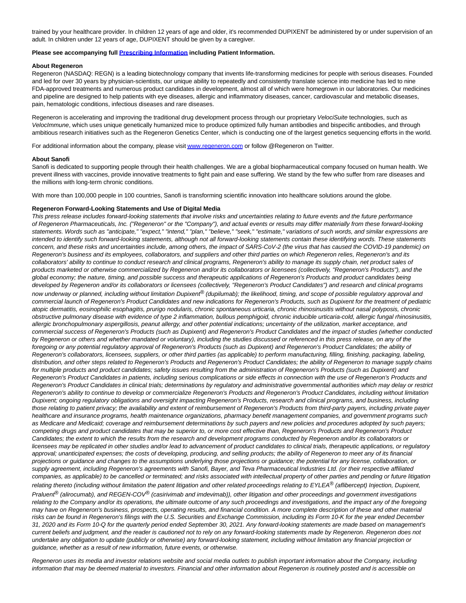trained by your healthcare provider. In children 12 years of age and older, it's recommended DUPIXENT be administered by or under supervision of an adult. In children under 12 years of age, DUPIXENT should be given by a caregiver.

#### **Please see accompanying full [Prescribing Information](https://c212.net/c/link/?t=0&l=en&o=3431111-1&h=545375818&u=https%3A%2F%2Fwww.regeneron.com%2Fsites%2Fdefault%2Ffiles%2FDupixent_FPI.pdf&a=Prescribing%C2%A0Information) including Patient Information.**

#### **About Regeneron**

Regeneron (NASDAQ: REGN) is a leading biotechnology company that invents life-transforming medicines for people with serious diseases. Founded and led for over 30 years by physician-scientists, our unique ability to repeatedly and consistently translate science into medicine has led to nine FDA-approved treatments and numerous product candidates in development, almost all of which were homegrown in our laboratories. Our medicines and pipeline are designed to help patients with eye diseases, allergic and inflammatory diseases, cancer, cardiovascular and metabolic diseases, pain, hematologic conditions, infectious diseases and rare diseases.

Regeneron is accelerating and improving the traditional drug development process through our proprietary VelociSuite technologies, such as VelocImmune, which uses unique genetically humanized mice to produce optimized fully human antibodies and bispecific antibodies, and through ambitious research initiatives such as the Regeneron Genetics Center, which is conducting one of the largest genetics sequencing efforts in the world.

For additional information about the company, please visi[t www.regeneron.com o](https://c212.net/c/link/?t=0&l=en&o=3431111-1&h=3049297666&u=http%3A%2F%2Fwww.regeneron.com%2F&a=www.regeneron.com)r follow @Regeneron on Twitter.

### **About Sanofi**

Sanofi is dedicated to supporting people through their health challenges. We are a global biopharmaceutical company focused on human health. We prevent illness with vaccines, provide innovative treatments to fight pain and ease suffering. We stand by the few who suffer from rare diseases and the millions with long-term chronic conditions.

With more than 100,000 people in 100 countries, Sanofi is transforming scientific innovation into healthcare solutions around the globe.

### **Regeneron Forward-Looking Statements and Use of Digital Media**

This press release includes forward-looking statements that involve risks and uncertainties relating to future events and the future performance of Regeneron Pharmaceuticals, Inc. ("Regeneron" or the "Company"), and actual events or results may differ materially from these forward-looking statements. Words such as "anticipate," "expect," "intend," "plan," "believe," "seek," "estimate," variations of such words, and similar expressions are intended to identify such forward-looking statements, although not all forward-looking statements contain these identifying words. These statements concern, and these risks and uncertainties include, among others, the impact of SARS-CoV-2 (the virus that has caused the COVID-19 pandemic) on Regeneron's business and its employees, collaborators, and suppliers and other third parties on which Regeneron relies, Regeneron's and its collaborators' ability to continue to conduct research and clinical programs, Regeneron's ability to manage its supply chain, net product sales of products marketed or otherwise commercialized by Regeneron and/or its collaborators or licensees (collectively, "Regeneron's Products"), and the global economy; the nature, timing, and possible success and therapeutic applications of Regeneron's Products and product candidates being developed by Regeneron and/or its collaborators or licensees (collectively, "Regeneron's Product Candidates") and research and clinical programs now underway or planned, including without limitation Dupixent® (dupilumab); the likelihood, timing, and scope of possible regulatory approval and commercial launch of Regeneron's Product Candidates and new indications for Regeneron's Products, such as Dupixent for the treatment of pediatric atopic dermatitis, eosinophilic esophagitis, prurigo nodularis, chronic spontaneous urticaria, chronic rhinosinusitis without nasal polyposis, chronic obstructive pulmonary disease with evidence of type 2 inflammation, bullous pemphigoid, chronic inducible urticaria-cold, allergic fungal rhinosinusitis, allergic bronchopulmonary aspergillosis, peanut allergy, and other potential indications; uncertainty of the utilization, market acceptance, and commercial success of Regeneron's Products (such as Dupixent) and Regeneron's Product Candidates and the impact of studies (whether conducted by Regeneron or others and whether mandated or voluntary), including the studies discussed or referenced in this press release, on any of the foregoing or any potential regulatory approval of Regeneron's Products (such as Dupixent) and Regeneron's Product Candidates; the ability of Regeneron's collaborators, licensees, suppliers, or other third parties (as applicable) to perform manufacturing, filling, finishing, packaging, labeling, distribution, and other steps related to Regeneron's Products and Regeneron's Product Candidates; the ability of Regeneron to manage supply chains for multiple products and product candidates; safety issues resulting from the administration of Regeneron's Products (such as Dupixent) and Regeneron's Product Candidates in patients, including serious complications or side effects in connection with the use of Regeneron's Products and Regeneron's Product Candidates in clinical trials; determinations by regulatory and administrative governmental authorities which may delay or restrict Regeneron's ability to continue to develop or commercialize Regeneron's Products and Regeneron's Product Candidates, including without limitation Dupixent; ongoing regulatory obligations and oversight impacting Regeneron's Products, research and clinical programs, and business, including those relating to patient privacy; the availability and extent of reimbursement of Regeneron's Products from third-party payers, including private payer healthcare and insurance programs, health maintenance organizations, pharmacy benefit management companies, and government programs such as Medicare and Medicaid; coverage and reimbursement determinations by such payers and new policies and procedures adopted by such payers; competing drugs and product candidates that may be superior to, or more cost effective than, Regeneron's Products and Regeneron's Product Candidates; the extent to which the results from the research and development programs conducted by Regeneron and/or its collaborators or licensees may be replicated in other studies and/or lead to advancement of product candidates to clinical trials, therapeutic applications, or regulatory approval; unanticipated expenses; the costs of developing, producing, and selling products; the ability of Regeneron to meet any of its financial projections or guidance and changes to the assumptions underlying those projections or guidance; the potential for any license, collaboration, or supply agreement, including Regeneron's agreements with Sanofi, Bayer, and Teva Pharmaceutical Industries Ltd. (or their respective affiliated companies, as applicable) to be cancelled or terminated; and risks associated with intellectual property of other parties and pending or future litigation relating thereto (including without limitation the patent litigation and other related proceedings relating to EYLEA® (aflibercept) Injection, Dupixent, Praluent<sup>®</sup> (alirocumab), and REGEN-COV<sup>®</sup> (casirivimab and imdevimab)), other litigation and other proceedings and government investigations relating to the Company and/or its operations, the ultimate outcome of any such proceedings and investigations, and the impact any of the foregoing may have on Regeneron's business, prospects, operating results, and financial condition. A more complete description of these and other material risks can be found in Regeneron's filings with the U.S. Securities and Exchange Commission, including its Form 10-K for the year ended December 31, 2020 and its Form 10-Q for the quarterly period ended September 30, 2021. Any forward-looking statements are made based on management's current beliefs and judgment, and the reader is cautioned not to rely on any forward-looking statements made by Regeneron. Regeneron does not undertake any obligation to update (publicly or otherwise) any forward-looking statement, including without limitation any financial projection or guidance, whether as a result of new information, future events, or otherwise.

Regeneron uses its media and investor relations website and social media outlets to publish important information about the Company, including information that may be deemed material to investors. Financial and other information about Regeneron is routinely posted and is accessible on